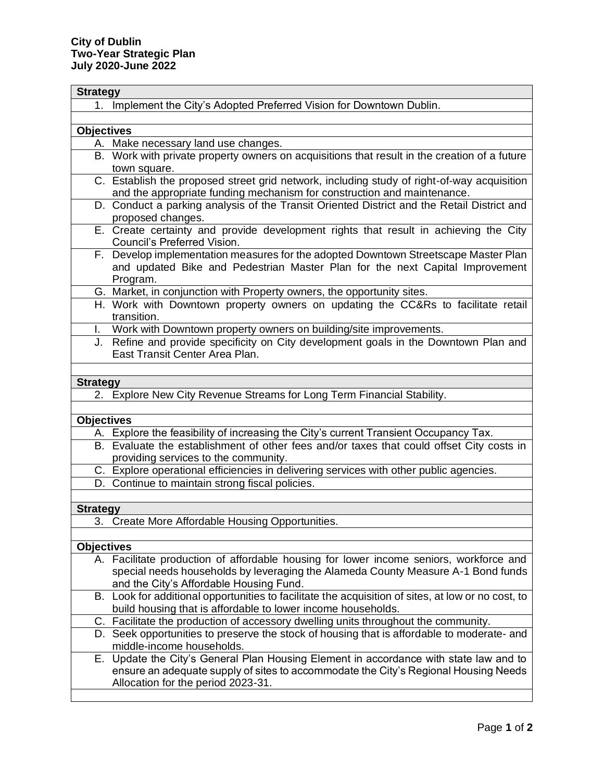| <b>Strategy</b>   |                                                                                                                                                           |
|-------------------|-----------------------------------------------------------------------------------------------------------------------------------------------------------|
|                   | 1. Implement the City's Adopted Preferred Vision for Downtown Dublin.                                                                                     |
|                   |                                                                                                                                                           |
| <b>Objectives</b> |                                                                                                                                                           |
|                   | A. Make necessary land use changes.                                                                                                                       |
|                   | B. Work with private property owners on acquisitions that result in the creation of a future                                                              |
|                   | town square.                                                                                                                                              |
|                   | C. Establish the proposed street grid network, including study of right-of-way acquisition                                                                |
|                   | and the appropriate funding mechanism for construction and maintenance.                                                                                   |
|                   | D. Conduct a parking analysis of the Transit Oriented District and the Retail District and                                                                |
|                   | proposed changes.                                                                                                                                         |
|                   | E. Create certainty and provide development rights that result in achieving the City                                                                      |
|                   | Council's Preferred Vision.                                                                                                                               |
|                   | F. Develop implementation measures for the adopted Downtown Streetscape Master Plan                                                                       |
|                   | and updated Bike and Pedestrian Master Plan for the next Capital Improvement                                                                              |
|                   | Program.                                                                                                                                                  |
|                   | G. Market, in conjunction with Property owners, the opportunity sites.                                                                                    |
|                   | H. Work with Downtown property owners on updating the CC&Rs to facilitate retail                                                                          |
|                   | transition.                                                                                                                                               |
| L.                | Work with Downtown property owners on building/site improvements.<br>J. Refine and provide specificity on City development goals in the Downtown Plan and |
|                   | East Transit Center Area Plan.                                                                                                                            |
|                   |                                                                                                                                                           |
|                   |                                                                                                                                                           |
| <b>Strategy</b>   |                                                                                                                                                           |
|                   | 2. Explore New City Revenue Streams for Long Term Financial Stability.                                                                                    |
|                   |                                                                                                                                                           |
| <b>Objectives</b> |                                                                                                                                                           |
|                   | A. Explore the feasibility of increasing the City's current Transient Occupancy Tax.                                                                      |
|                   | B. Evaluate the establishment of other fees and/or taxes that could offset City costs in                                                                  |
|                   | providing services to the community.                                                                                                                      |
|                   | C. Explore operational efficiencies in delivering services with other public agencies.<br>D. Continue to maintain strong fiscal policies.                 |
|                   |                                                                                                                                                           |
| <b>Strategy</b>   |                                                                                                                                                           |
|                   | 3. Create More Affordable Housing Opportunities.                                                                                                          |
|                   |                                                                                                                                                           |
| <b>Objectives</b> |                                                                                                                                                           |
|                   | A. Facilitate production of affordable housing for lower income seniors, workforce and                                                                    |
|                   | special needs households by leveraging the Alameda County Measure A-1 Bond funds                                                                          |
|                   | and the City's Affordable Housing Fund.                                                                                                                   |
|                   | B. Look for additional opportunities to facilitate the acquisition of sites, at low or no cost, to                                                        |
|                   | build housing that is affordable to lower income households.                                                                                              |
|                   | C. Facilitate the production of accessory dwelling units throughout the community.                                                                        |
|                   | D. Seek opportunities to preserve the stock of housing that is affordable to moderate- and                                                                |
|                   | middle-income households.                                                                                                                                 |
|                   | E. Update the City's General Plan Housing Element in accordance with state law and to                                                                     |
|                   | ensure an adequate supply of sites to accommodate the City's Regional Housing Needs                                                                       |
|                   | Allocation for the period 2023-31.                                                                                                                        |